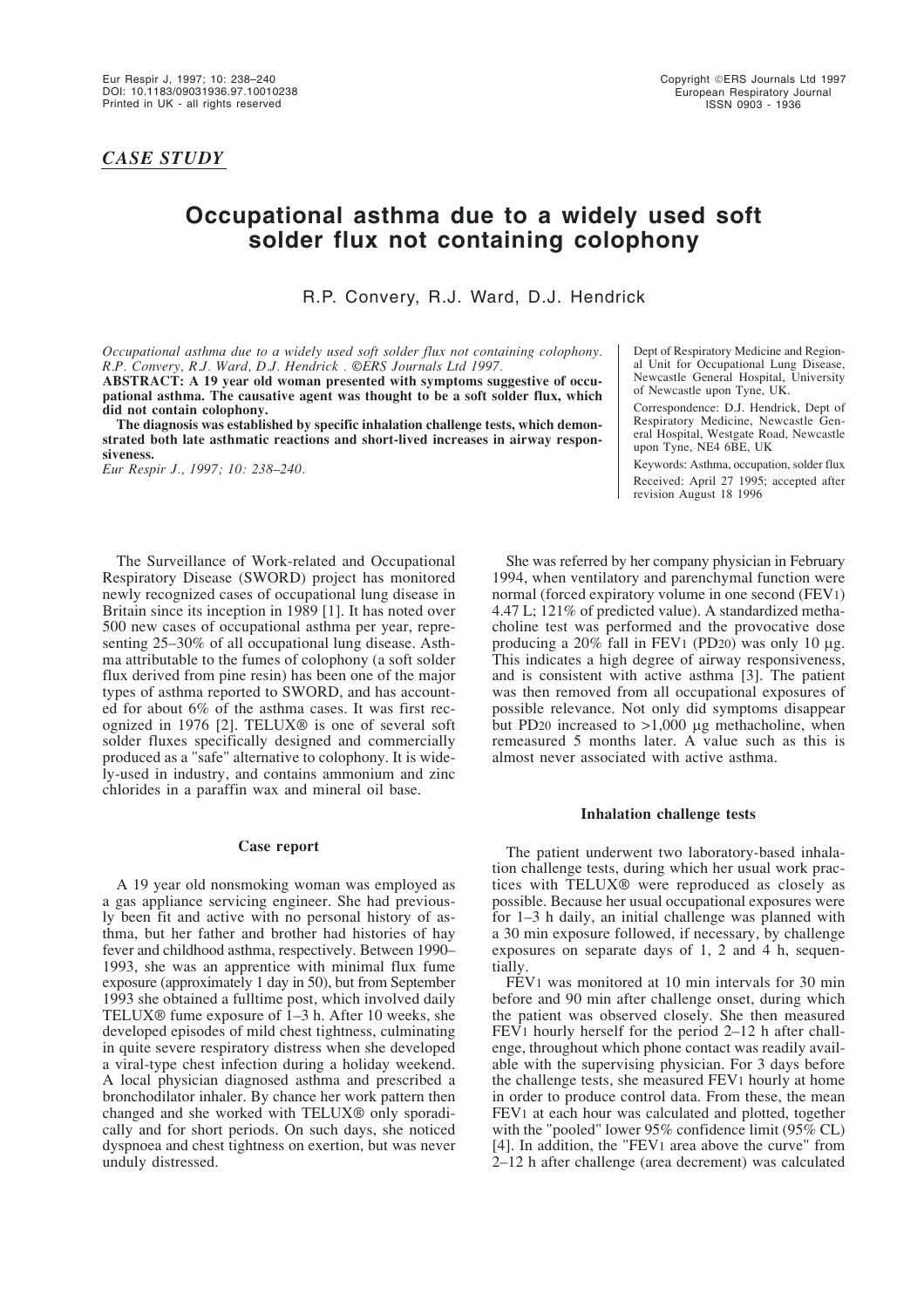*CASE STUDY*

# **Occupational asthma due to a widely used soft solder flux not containing colophony**

R.P. Convery, R.J. Ward, D.J. Hendrick

*Occupational asthma due to a widely used soft solder flux not containing colophony. R.P. Convery, R.J. Ward, D.J. Hendrick . ©ERS Journals Ltd 1997.*

**ABSTRACT: A 19 year old woman presented with symptoms suggestive of occupational asthma. The causative agent was thought to be a soft solder flux, which did not contain colophony.** 

**The diagnosis was established by specific inhalation challenge tests, which demonstrated both late asthmatic reactions and short-lived increases in airway responsiveness.**

*Eur Respir J., 1997; 10: 238–240.*

The Surveillance of Work-related and Occupational Respiratory Disease (SWORD) project has monitored newly recognized cases of occupational lung disease in Britain since its inception in 1989 [1]. It has noted over 500 new cases of occupational asthma per year, representing 25–30% of all occupational lung disease. Asthma attributable to the fumes of colophony (a soft solder flux derived from pine resin) has been one of the major types of asthma reported to SWORD, and has accounted for about 6% of the asthma cases. It was first recognized in 1976 [2]. TELUX® is one of several soft solder fluxes specifically designed and commercially produced as a "safe" alternative to colophony. It is widely-used in industry, and contains ammonium and zinc chlorides in a paraffin wax and mineral oil base.

## **Case report**

A 19 year old nonsmoking woman was employed as a gas appliance servicing engineer. She had previously been fit and active with no personal history of asthma, but her father and brother had histories of hay fever and childhood asthma, respectively. Between 1990– 1993, she was an apprentice with minimal flux fume exposure (approximately 1 day in 50), but from September 1993 she obtained a fulltime post, which involved daily TELUX® fume exposure of 1–3 h. After 10 weeks, she developed episodes of mild chest tightness, culminating in quite severe respiratory distress when she developed a viral-type chest infection during a holiday weekend. A local physician diagnosed asthma and prescribed a bronchodilator inhaler. By chance her work pattern then changed and she worked with TELUX® only sporadically and for short periods. On such days, she noticed dyspnoea and chest tightness on exertion, but was never unduly distressed.

Dept of Respiratory Medicine and Regional Unit for Occupational Lung Disease, Newcastle General Hospital, University of Newcastle upon Tyne, UK.

Correspondence: D.J. Hendrick, Dept of Respiratory Medicine, Newcastle General Hospital, Westgate Road, Newcastle upon Tyne, NE4 6BE, UK

Keywords: Asthma, occupation, solder flux Received: April 27 1995; accepted after revision August 18 1996

She was referred by her company physician in February 1994, when ventilatory and parenchymal function were normal (forced expiratory volume in one second (FEV1) 4.47 L; 121% of predicted value). A standardized methacholine test was performed and the provocative dose producing a 20% fall in FEV1 (PD20) was only 10 µg. This indicates a high degree of airway responsiveness, and is consistent with active asthma [3]. The patient was then removed from all occupational exposures of possible relevance. Not only did symptoms disappear but PD20 increased to  $>1,000$  µg methacholine, when remeasured 5 months later. A value such as this is almost never associated with active asthma.

### **Inhalation challenge tests**

The patient underwent two laboratory-based inhalation challenge tests, during which her usual work practices with TELUX® were reproduced as closely as possible. Because her usual occupational exposures were for 1–3 h daily, an initial challenge was planned with a 30 min exposure followed, if necessary, by challenge exposures on separate days of 1, 2 and 4 h, sequentially.

FEV1 was monitored at 10 min intervals for 30 min before and 90 min after challenge onset, during which the patient was observed closely. She then measured FEV1 hourly herself for the period 2–12 h after challenge, throughout which phone contact was readily available with the supervising physician. For 3 days before the challenge tests, she measured FEV1 hourly at home in order to produce control data. From these, the mean FEV1 at each hour was calculated and plotted, together with the "pooled" lower 95% confidence limit (95% CL) [4]. In addition, the "FEV1 area above the curve" from 2–12 h after challenge (area decrement) was calculated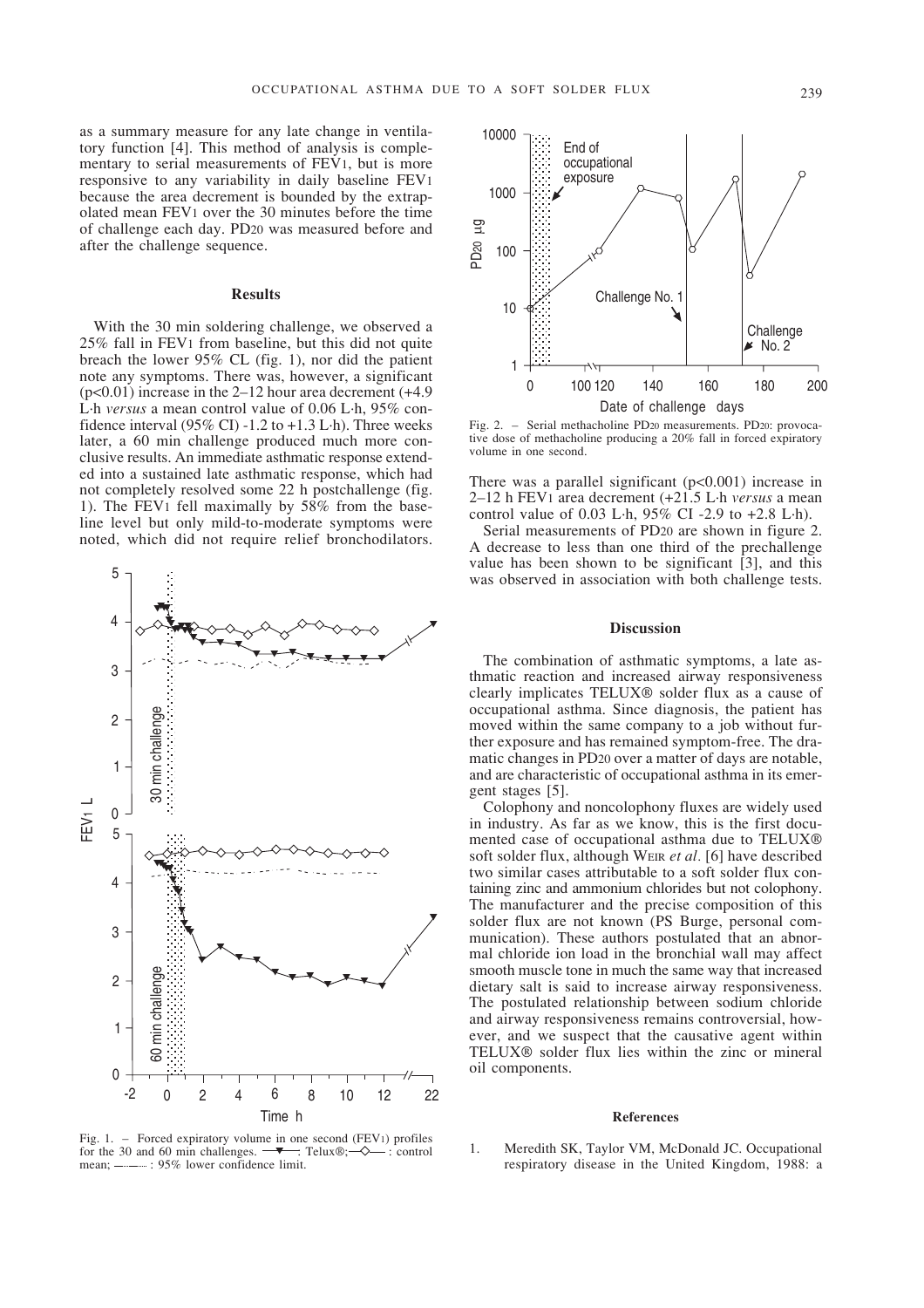as a summary measure for any late change in ventilatory function [4]. This method of analysis is complementary to serial measurements of FEV1, but is more responsive to any variability in daily baseline FEV1 because the area decrement is bounded by the extrapolated mean FEV1 over the 30 minutes before the time of challenge each day. PD20 was measured before and after the challenge sequence.

#### **Results**

With the 30 min soldering challenge, we observed a 25% fall in FEV1 from baseline, but this did not quite breach the lower 95% CL (fig. 1), nor did the patient note any symptoms. There was, however, a significant  $(p<0.01)$  increase in the 2–12 hour area decrement  $(+4.9)$ L·h *versus* a mean control value of 0.06 L·h, 95% confidence interval  $(95\% \text{ CI})$  -1.2 to +1.3 L·h). Three weeks later, a 60 min challenge produced much more conclusive results. An immediate asthmatic response extended into a sustained late asthmatic response, which had not completely resolved some 22 h postchallenge (fig. 1). The FEV1 fell maximally by 58% from the baseline level but only mild-to-moderate symptoms were noted, which did not require relief bronchodilators.



Fig. 1. – Forced expiratory volume in one second (FEV1) profiles for the 30 and 60 min challenges.  $\rightarrow$  Telux®;  $\rightarrow$  : control mean;  $\frac{1}{2}$ : 95% lower confidence limit.



Fig. 2. – Serial methacholine PD20 measurements. PD20: provocative dose of methacholine producing a 20% fall in forced expiratory volume in one second.

There was a parallel significant  $(p<0.001)$  increase in 2–12 h FEV1 area decrement (+21.5 L·h *versus* a mean control value of 0.03 L·h,  $95\%$  CI -2.9 to +2.8 L·h).

Serial measurements of PD20 are shown in figure 2. A decrease to less than one third of the prechallenge value has been shown to be significant [3], and this was observed in association with both challenge tests.

## **Discussion**

The combination of asthmatic symptoms, a late asthmatic reaction and increased airway responsiveness clearly implicates TELUX® solder flux as a cause of occupational asthma. Since diagnosis, the patient has moved within the same company to a job without further exposure and has remained symptom-free. The dramatic changes in PD20 over a matter of days are notable, and are characteristic of occupational asthma in its emergent stages [5].

Colophony and noncolophony fluxes are widely used in industry. As far as we know, this is the first documented case of occupational asthma due to TELUX® soft solder flux, although WEIR *et al.* [6] have described two similar cases attributable to a soft solder flux containing zinc and ammonium chlorides but not colophony. The manufacturer and the precise composition of this solder flux are not known (PS Burge, personal communication). These authors postulated that an abnormal chloride ion load in the bronchial wall may affect smooth muscle tone in much the same way that increased dietary salt is said to increase airway responsiveness. The postulated relationship between sodium chloride and airway responsiveness remains controversial, however, and we suspect that the causative agent within TELUX® solder flux lies within the zinc or mineral oil components.

#### **References**

1. Meredith SK, Taylor VM, McDonald JC. Occupational respiratory disease in the United Kingdom, 1988: a